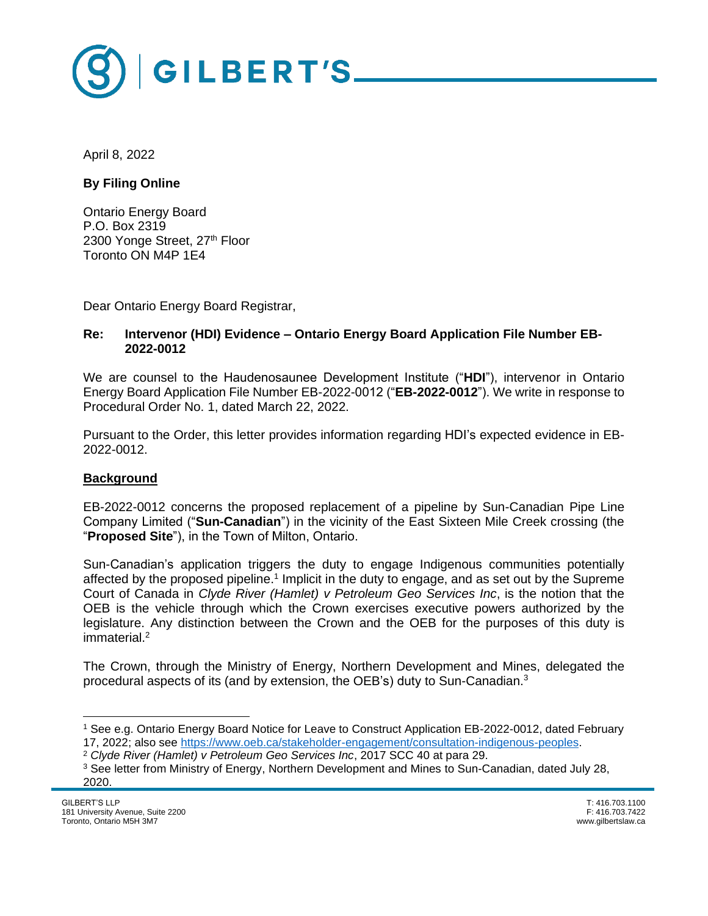

April 8, 2022

**By Filing Online**

Ontario Energy Board P.O. Box 2319 2300 Yonge Street, 27th Floor Toronto ON M4P 1E4

Dear Ontario Energy Board Registrar,

#### **Re: Intervenor (HDI) Evidence – Ontario Energy Board Application File Number EB-2022-0012**

We are counsel to the Haudenosaunee Development Institute ("**HDI**"), intervenor in Ontario Energy Board Application File Number EB-2022-0012 ("**EB-2022-0012**"). We write in response to Procedural Order No. 1, dated March 22, 2022.

Pursuant to the Order, this letter provides information regarding HDI's expected evidence in EB-2022-0012.

### **Background**

EB-2022-0012 concerns the proposed replacement of a pipeline by Sun-Canadian Pipe Line Company Limited ("**Sun-Canadian**") in the vicinity of the East Sixteen Mile Creek crossing (the "**Proposed Site**"), in the Town of Milton, Ontario.

Sun-Canadian's application triggers the duty to engage Indigenous communities potentially affected by the proposed pipeline.<sup>1</sup> Implicit in the duty to engage, and as set out by the Supreme Court of Canada in *Clyde River (Hamlet) v Petroleum Geo Services Inc*, is the notion that the OEB is the vehicle through which the Crown exercises executive powers authorized by the legislature. Any distinction between the Crown and the OEB for the purposes of this duty is immaterial.<sup>2</sup>

The Crown, through the Ministry of Energy, Northern Development and Mines, delegated the procedural aspects of its (and by extension, the OEB's) duty to Sun-Canadian.<sup>3</sup>

<sup>1</sup> See e.g. Ontario Energy Board Notice for Leave to Construct Application EB-2022-0012, dated February 17, 2022; also see [https://www.oeb.ca/stakeholder-engagement/consultation-indigenous-peoples.](https://www.oeb.ca/stakeholder-engagement/consultation-indigenous-peoples)

<sup>2</sup> *Clyde River (Hamlet) v Petroleum Geo Services Inc*, 2017 SCC 40 at para 29.

<sup>3</sup> See letter from Ministry of Energy, Northern Development and Mines to Sun-Canadian, dated July 28, 2020.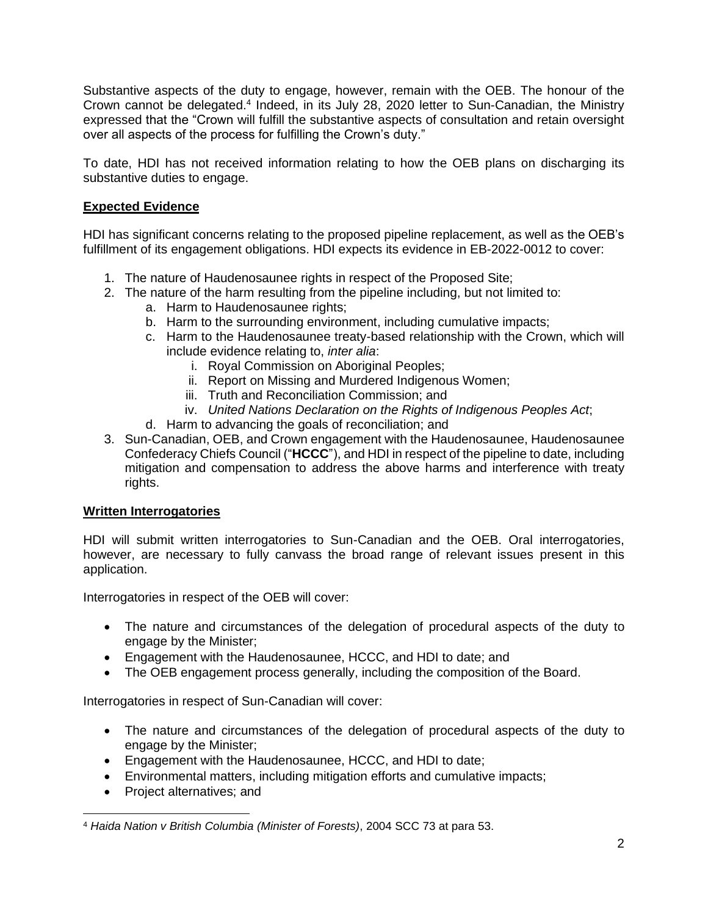Substantive aspects of the duty to engage, however, remain with the OEB. The honour of the Crown cannot be delegated.<sup>4</sup> Indeed, in its July 28, 2020 letter to Sun-Canadian, the Ministry expressed that the "Crown will fulfill the substantive aspects of consultation and retain oversight over all aspects of the process for fulfilling the Crown's duty."

To date, HDI has not received information relating to how the OEB plans on discharging its substantive duties to engage.

# **Expected Evidence**

HDI has significant concerns relating to the proposed pipeline replacement, as well as the OEB's fulfillment of its engagement obligations. HDI expects its evidence in EB-2022-0012 to cover:

- 1. The nature of Haudenosaunee rights in respect of the Proposed Site;
- 2. The nature of the harm resulting from the pipeline including, but not limited to:
	- a. Harm to Haudenosaunee rights;
	- b. Harm to the surrounding environment, including cumulative impacts;
	- c. Harm to the Haudenosaunee treaty-based relationship with the Crown, which will include evidence relating to, *inter alia*:
		- i. Royal Commission on Aboriginal Peoples;
		- ii. Report on Missing and Murdered Indigenous Women;
		- iii. Truth and Reconciliation Commission; and
		- iv. *United Nations Declaration on the Rights of Indigenous Peoples Act*;
	- d. Harm to advancing the goals of reconciliation; and
- 3. Sun-Canadian, OEB, and Crown engagement with the Haudenosaunee, Haudenosaunee Confederacy Chiefs Council ("**HCCC**"), and HDI in respect of the pipeline to date, including mitigation and compensation to address the above harms and interference with treaty rights.

### **Written Interrogatories**

HDI will submit written interrogatories to Sun-Canadian and the OEB. Oral interrogatories, however, are necessary to fully canvass the broad range of relevant issues present in this application.

Interrogatories in respect of the OEB will cover:

- The nature and circumstances of the delegation of procedural aspects of the duty to engage by the Minister;
- Engagement with the Haudenosaunee, HCCC, and HDI to date; and
- The OEB engagement process generally, including the composition of the Board.

Interrogatories in respect of Sun-Canadian will cover:

- The nature and circumstances of the delegation of procedural aspects of the duty to engage by the Minister;
- Engagement with the Haudenosaunee, HCCC, and HDI to date;
- Environmental matters, including mitigation efforts and cumulative impacts;
- Project alternatives; and

<sup>4</sup> *Haida Nation v British Columbia (Minister of Forests)*, 2004 SCC 73 at para 53.